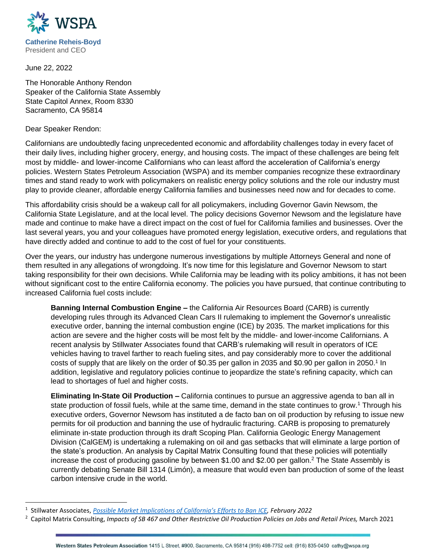

June 22, 2022

The Honorable Anthony Rendon Speaker of the California State Assembly State Capitol Annex, Room 8330 Sacramento, CA 95814

Dear Speaker Rendon:

Californians are undoubtedly facing unprecedented economic and affordability challenges today in every facet of their daily lives, including higher grocery, energy, and housing costs. The impact of these challenges are being felt most by middle- and lower-income Californians who can least afford the acceleration of California's energy policies. Western States Petroleum Association (WSPA) and its member companies recognize these extraordinary times and stand ready to work with policymakers on realistic energy policy solutions and the role our industry must play to provide cleaner, affordable energy California families and businesses need now and for decades to come.

This affordability crisis should be a wakeup call for all policymakers, including Governor Gavin Newsom, the California State Legislature, and at the local level. The policy decisions Governor Newsom and the legislature have made and continue to make have a direct impact on the cost of fuel for California families and businesses. Over the last several years, you and your colleagues have promoted energy legislation, executive orders, and regulations that have directly added and continue to add to the cost of fuel for your constituents.

Over the years, our industry has undergone numerous investigations by multiple Attorneys General and none of them resulted in any allegations of wrongdoing. It's now time for this legislature and Governor Newsom to start taking responsibility for their own decisions. While California may be leading with its policy ambitions, it has not been without significant cost to the entire California economy. The policies you have pursued, that continue contributing to increased California fuel costs include:

**Banning Internal Combustion Engine –** the California Air Resources Board (CARB) is currently developing rules through its Advanced Clean Cars II rulemaking to implement the Governor's unrealistic executive order, banning the internal combustion engine (ICE) by 2035. The market implications for this action are severe and the higher costs will be most felt by the middle- and lower-income Californians. A recent analysis by Stillwater Associates found that CARB's rulemaking will result in operators of ICE vehicles having to travel farther to reach fueling sites, and pay considerably more to cover the additional costs of supply that are likely on the order of \$0.35 per gallon in 2035 and \$0.90 per gallon in 2050.<sup>1</sup> In addition, legislative and regulatory policies continue to jeopardize the state's refining capacity, which can lead to shortages of fuel and higher costs.

**Eliminating In-State Oil Production –** California continues to pursue an aggressive agenda to ban all in state production of fossil fuels, while at the same time, demand in the state continues to grow.<sup>1</sup> Through his executive orders, Governor Newsom has instituted a de facto ban on oil production by refusing to issue new permits for oil production and banning the use of hydraulic fracturing. CARB is proposing to prematurely eliminate in-state production through its draft Scoping Plan. California Geologic Energy Management Division (CalGEM) is undertaking a rulemaking on oil and gas setbacks that will eliminate a large portion of the state's production. An analysis by Capital Matrix Consulting found that these policies will potentially increase the cost of producing gasoline by between \$1.00 and \$2.00 per gallon.<sup>2</sup> The State Assembly is currently debating Senate Bill 1314 (Limón), a measure that would even ban production of some of the least carbon intensive crude in the world.

<sup>1</sup> Stillwater Associates, *[Possible Market Implications of California's Efforts to Ban](https://stillwaterassociates.com/possible-market-implications-of-californias-efforts-to-ban-internal-combustion-engines/) ICE, February 2022*

<sup>2</sup> Capitol Matrix Consulting, *Impacts of SB 467 and Other Restrictive Oil Production Policies on Jobs and Retail Prices,* March 2021